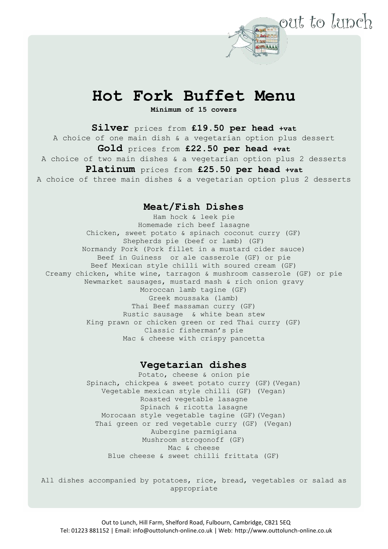## **Hot Fork Buffet Menu**

out to lunch

**Minimum of 15 covers**

**Silver** prices from **£19.50 per head +vat** A choice of one main dish & a vegetarian option plus dessert **Gold** prices from **£22.50 per head +vat** A choice of two main dishes & a vegetarian option plus 2 desserts **Platinum** prices from **£25.50 per head +vat**

A choice of three main dishes & a vegetarian option plus 2 desserts

## **Meat/Fish Dishes**

Ham hock & leek pie Homemade rich beef lasagne Chicken, sweet potato & spinach coconut curry (GF) Shepherds pie (beef or lamb) (GF) Normandy Pork (Pork fillet in a mustard cider sauce) Beef in Guiness or ale casserole (GF) or pie Beef Mexican style chilli with soured cream (GF) Creamy chicken, white wine, tarragon & mushroom casserole (GF) or pie Newmarket sausages, mustard mash & rich onion gravy Moroccan lamb tagine (GF) Greek moussaka (lamb) Thai Beef massaman curry (GF) Rustic sausage & white bean stew King prawn or chicken green or red Thai curry (GF) Classic fisherman's pie Mac & cheese with crispy pancetta

## **Vegetarian dishes**

Potato, cheese & onion pie Spinach, chickpea & sweet potato curry (GF)(Vegan) Vegetable mexican style chilli (GF) (Vegan) Roasted vegetable lasagne Spinach & ricotta lasagne Morocaan style vegetable tagine (GF)(Vegan) Thai green or red vegetable curry (GF) (Vegan) Aubergine parmigiana Mushroom strogonoff (GF) Mac & cheese Blue cheese & sweet chilli frittata (GF)

All dishes accompanied by potatoes, rice, bread, vegetables or salad as appropriate